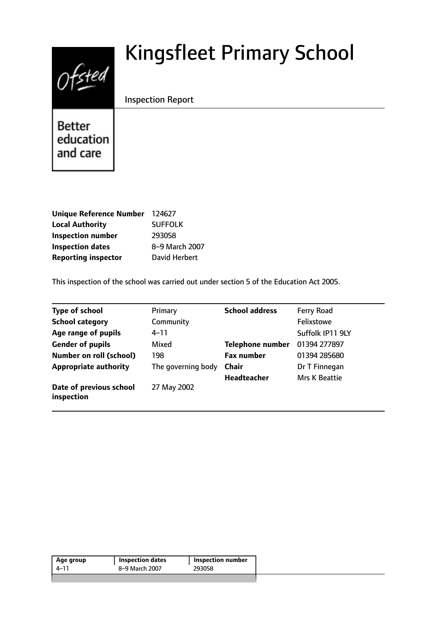# $Of$ sted

# Kingsfleet Primary School

Inspection Report

**Better** education and care

| Unique Reference Number 124627 |                |
|--------------------------------|----------------|
| <b>Local Authority</b>         | <b>SUFFOLK</b> |
| <b>Inspection number</b>       | 293058         |
| <b>Inspection dates</b>        | 8-9 March 2007 |
| <b>Reporting inspector</b>     | David Herbert  |

This inspection of the school was carried out under section 5 of the Education Act 2005.

| <b>Type of school</b>                 | Primary            | <b>School address</b>   | Ferry Road       |
|---------------------------------------|--------------------|-------------------------|------------------|
| <b>School category</b>                | Community          |                         | Felixstowe       |
| Age range of pupils                   | 4–11               |                         | Suffolk IP11 9LY |
| <b>Gender of pupils</b>               | Mixed              | <b>Telephone number</b> | 01394 277897     |
| <b>Number on roll (school)</b>        | 198                | <b>Fax number</b>       | 01394 285680     |
| <b>Appropriate authority</b>          | The governing body | <b>Chair</b>            | Dr T Finnegan    |
|                                       |                    | <b>Headteacher</b>      | Mrs K Beattie    |
| Date of previous school<br>inspection | 27 May 2002        |                         |                  |

| Age group | <b>Inspection dates</b> | Inspection number |
|-----------|-------------------------|-------------------|
| 4–11      | 8–9 March 2007          | 293058            |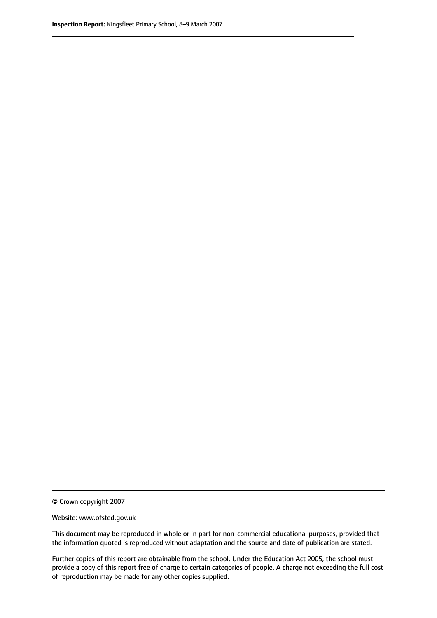© Crown copyright 2007

Website: www.ofsted.gov.uk

This document may be reproduced in whole or in part for non-commercial educational purposes, provided that the information quoted is reproduced without adaptation and the source and date of publication are stated.

Further copies of this report are obtainable from the school. Under the Education Act 2005, the school must provide a copy of this report free of charge to certain categories of people. A charge not exceeding the full cost of reproduction may be made for any other copies supplied.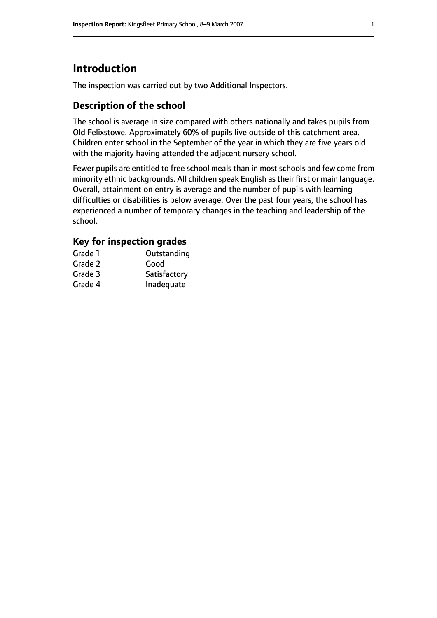# **Introduction**

The inspection was carried out by two Additional Inspectors.

# **Description of the school**

The school is average in size compared with others nationally and takes pupils from Old Felixstowe. Approximately 60% of pupils live outside of this catchment area. Children enter school in the September of the year in which they are five years old with the majority having attended the adjacent nursery school.

Fewer pupils are entitled to free school meals than in most schools and few come from minority ethnic backgrounds. All children speak English astheir first or main language. Overall, attainment on entry is average and the number of pupils with learning difficulties or disabilities is below average. Over the past four years, the school has experienced a number of temporary changes in the teaching and leadership of the school.

# **Key for inspection grades**

| Grade 1 | Outstanding  |
|---------|--------------|
| Grade 2 | Good         |
| Grade 3 | Satisfactory |
| Grade 4 | Inadequate   |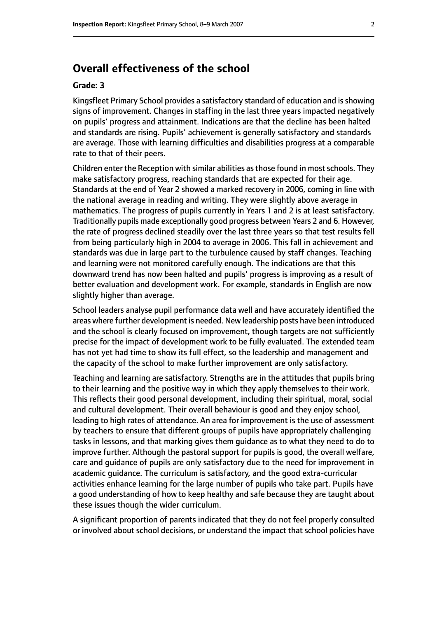# **Overall effectiveness of the school**

#### **Grade: 3**

Kingsfleet Primary School provides a satisfactory standard of education and isshowing signs of improvement. Changes in staffing in the last three years impacted negatively on pupils' progress and attainment. Indications are that the decline has been halted and standards are rising. Pupils' achievement is generally satisfactory and standards are average. Those with learning difficulties and disabilities progress at a comparable rate to that of their peers.

Children enter the Reception with similar abilities as those found in most schools. They make satisfactory progress, reaching standards that are expected for their age. Standards at the end of Year 2 showed a marked recovery in 2006, coming in line with the national average in reading and writing. They were slightly above average in mathematics. The progress of pupils currently in Years 1 and 2 is at least satisfactory. Traditionally pupils made exceptionally good progress between Years 2 and 6. However, the rate of progress declined steadily over the last three years so that test results fell from being particularly high in 2004 to average in 2006. This fall in achievement and standards was due in large part to the turbulence caused by staff changes. Teaching and learning were not monitored carefully enough. The indications are that this downward trend has now been halted and pupils' progress is improving as a result of better evaluation and development work. For example, standards in English are now slightly higher than average.

School leaders analyse pupil performance data well and have accurately identified the areas where further development is needed. New leadership posts have been introduced and the school is clearly focused on improvement, though targets are not sufficiently precise for the impact of development work to be fully evaluated. The extended team has not yet had time to show its full effect, so the leadership and management and the capacity of the school to make further improvement are only satisfactory.

Teaching and learning are satisfactory. Strengths are in the attitudes that pupils bring to their learning and the positive way in which they apply themselves to their work. This reflects their good personal development, including their spiritual, moral, social and cultural development. Their overall behaviour is good and they enjoy school, leading to high rates of attendance. An area for improvement is the use of assessment by teachers to ensure that different groups of pupils have appropriately challenging tasks in lessons, and that marking gives them guidance as to what they need to do to improve further. Although the pastoral support for pupils is good, the overall welfare, care and guidance of pupils are only satisfactory due to the need for improvement in academic guidance. The curriculum is satisfactory, and the good extra-curricular activities enhance learning for the large number of pupils who take part. Pupils have a good understanding of how to keep healthy and safe because they are taught about these issues though the wider curriculum.

A significant proportion of parents indicated that they do not feel properly consulted or involved about school decisions, or understand the impact that school policies have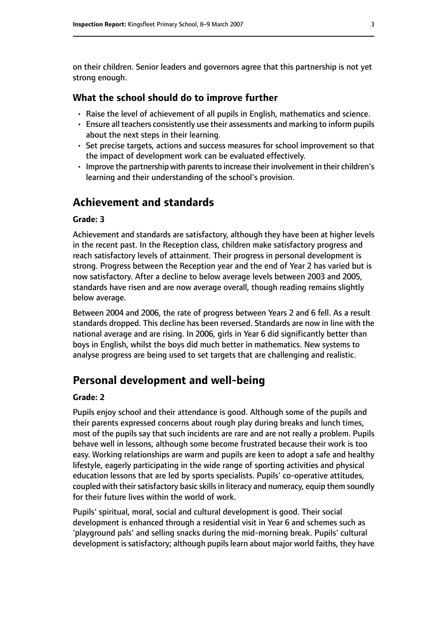on their children. Senior leaders and governors agree that this partnership is not yet strong enough.

#### **What the school should do to improve further**

- Raise the level of achievement of all pupils in English, mathematics and science.
- Ensure all teachers consistently use their assessments and marking to inform pupils about the next steps in their learning.
- Set precise targets, actions and success measures for school improvement so that the impact of development work can be evaluated effectively.
- Improve the partnership with parents to increase their involvement in their children's learning and their understanding of the school's provision.

# **Achievement and standards**

#### **Grade: 3**

Achievement and standards are satisfactory, although they have been at higher levels in the recent past. In the Reception class, children make satisfactory progress and reach satisfactory levels of attainment. Their progress in personal development is strong. Progress between the Reception year and the end of Year 2 has varied but is now satisfactory. After a decline to below average levels between 2003 and 2005, standards have risen and are now average overall, though reading remains slightly below average.

Between 2004 and 2006, the rate of progress between Years 2 and 6 fell. As a result standards dropped. This decline has been reversed. Standards are now in line with the national average and are rising. In 2006, girls in Year 6 did significantly better than boys in English, whilst the boys did much better in mathematics. New systems to analyse progress are being used to set targets that are challenging and realistic.

# **Personal development and well-being**

#### **Grade: 2**

Pupils enjoy school and their attendance is good. Although some of the pupils and their parents expressed concerns about rough play during breaks and lunch times, most of the pupils say that such incidents are rare and are not really a problem. Pupils behave well in lessons, although some become frustrated because their work is too easy. Working relationships are warm and pupils are keen to adopt a safe and healthy lifestyle, eagerly participating in the wide range of sporting activities and physical education lessons that are led by sports specialists. Pupils' co-operative attitudes, coupled with their satisfactory basic skills in literacy and numeracy, equip them soundly for their future lives within the world of work.

Pupils' spiritual, moral, social and cultural development is good. Their social development is enhanced through a residential visit in Year 6 and schemes such as 'playground pals' and selling snacks during the mid-morning break. Pupils' cultural development is satisfactory; although pupils learn about major world faiths, they have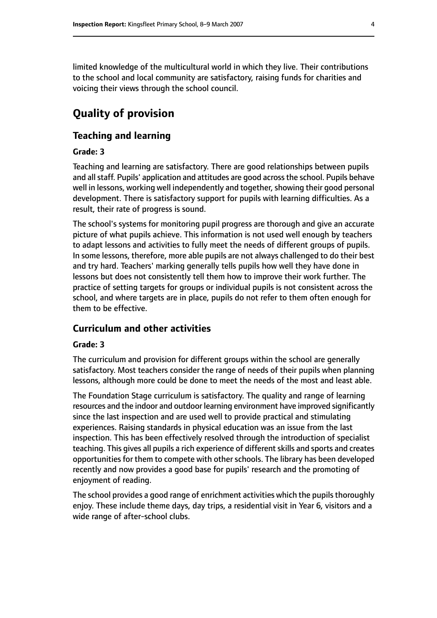limited knowledge of the multicultural world in which they live. Their contributions to the school and local community are satisfactory, raising funds for charities and voicing their views through the school council.

# **Quality of provision**

#### **Teaching and learning**

#### **Grade: 3**

Teaching and learning are satisfactory. There are good relationships between pupils and all staff. Pupils' application and attitudes are good across the school. Pupils behave well in lessons, working well independently and together, showing their good personal development. There is satisfactory support for pupils with learning difficulties. As a result, their rate of progress is sound.

The school's systems for monitoring pupil progress are thorough and give an accurate picture of what pupils achieve. This information is not used well enough by teachers to adapt lessons and activities to fully meet the needs of different groups of pupils. In some lessons, therefore, more able pupils are not always challenged to do their best and try hard. Teachers' marking generally tells pupils how well they have done in lessons but does not consistently tell them how to improve their work further. The practice of setting targets for groups or individual pupils is not consistent across the school, and where targets are in place, pupils do not refer to them often enough for them to be effective.

#### **Curriculum and other activities**

#### **Grade: 3**

The curriculum and provision for different groups within the school are generally satisfactory. Most teachers consider the range of needs of their pupils when planning lessons, although more could be done to meet the needs of the most and least able.

The Foundation Stage curriculum is satisfactory. The quality and range of learning resources and the indoor and outdoor learning environment have improved significantly since the last inspection and are used well to provide practical and stimulating experiences. Raising standards in physical education was an issue from the last inspection. This has been effectively resolved through the introduction of specialist teaching. This gives all pupils a rich experience of different skills and sports and creates opportunities for them to compete with other schools. The library has been developed recently and now provides a good base for pupils' research and the promoting of enjoyment of reading.

The school provides a good range of enrichment activities which the pupils thoroughly enjoy. These include theme days, day trips, a residential visit in Year 6, visitors and a wide range of after-school clubs.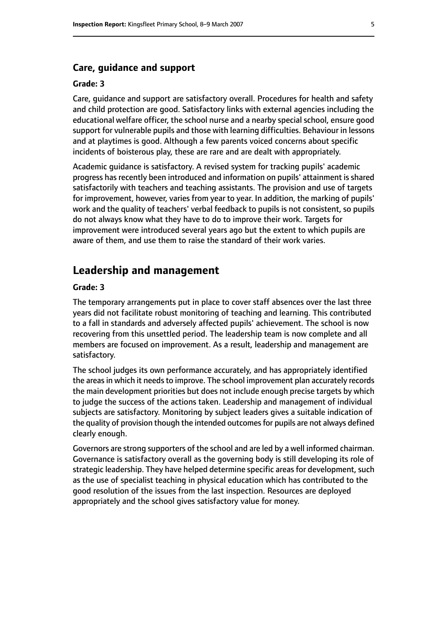#### **Care, guidance and support**

#### **Grade: 3**

Care, guidance and support are satisfactory overall. Procedures for health and safety and child protection are good. Satisfactory links with external agencies including the educational welfare officer, the school nurse and a nearby special school, ensure good support for vulnerable pupils and those with learning difficulties. Behaviour in lessons and at playtimes is good. Although a few parents voiced concerns about specific incidents of boisterous play, these are rare and are dealt with appropriately.

Academic guidance is satisfactory. A revised system for tracking pupils' academic progress has recently been introduced and information on pupils' attainment is shared satisfactorily with teachers and teaching assistants. The provision and use of targets for improvement, however, varies from year to year. In addition, the marking of pupils' work and the quality of teachers' verbal feedback to pupils is not consistent, so pupils do not always know what they have to do to improve their work. Targets for improvement were introduced several years ago but the extent to which pupils are aware of them, and use them to raise the standard of their work varies.

# **Leadership and management**

#### **Grade: 3**

The temporary arrangements put in place to cover staff absences over the last three years did not facilitate robust monitoring of teaching and learning. This contributed to a fall in standards and adversely affected pupils' achievement. The school is now recovering from this unsettled period. The leadership team is now complete and all members are focused on improvement. As a result, leadership and management are satisfactory.

The school judges its own performance accurately, and has appropriately identified the areas in which it needs to improve. The school improvement plan accurately records the main development priorities but does not include enough precise targets by which to judge the success of the actions taken. Leadership and management of individual subjects are satisfactory. Monitoring by subject leaders gives a suitable indication of the quality of provision though the intended outcomes for pupils are not always defined clearly enough.

Governors are strong supporters of the school and are led by a well informed chairman. Governance is satisfactory overall as the governing body is still developing its role of strategic leadership. They have helped determine specific areas for development, such as the use of specialist teaching in physical education which has contributed to the good resolution of the issues from the last inspection. Resources are deployed appropriately and the school gives satisfactory value for money.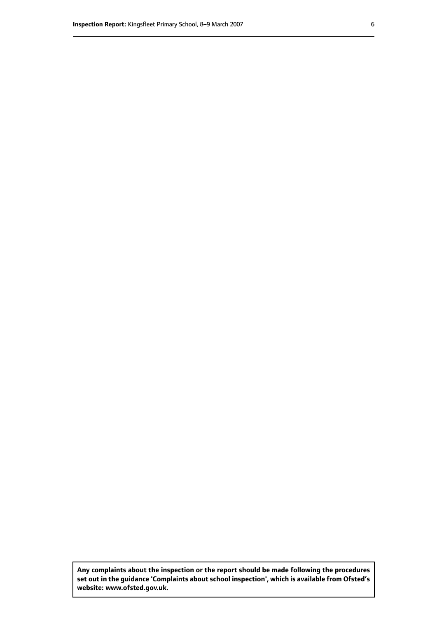**Any complaints about the inspection or the report should be made following the procedures set out inthe guidance 'Complaints about school inspection', whichis available from Ofsted's website: www.ofsted.gov.uk.**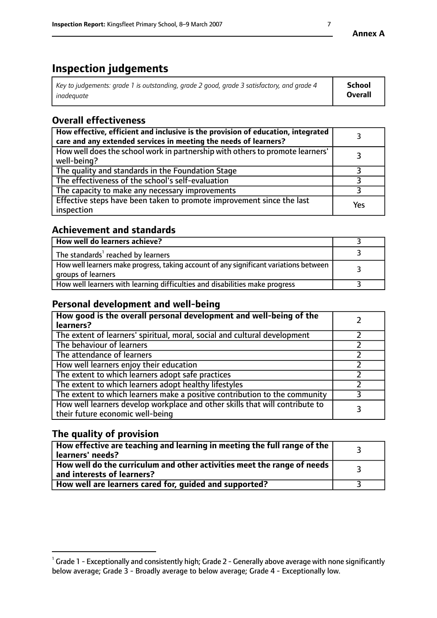# **Inspection judgements**

| Key to judgements: grade 1 is outstanding, grade 2 good, grade 3 satisfactory, and grade 4 | School         |
|--------------------------------------------------------------------------------------------|----------------|
| inadeauate                                                                                 | <b>Overall</b> |

# **Overall effectiveness**

| How effective, efficient and inclusive is the provision of education, integrated<br>care and any extended services in meeting the needs of learners? |     |
|------------------------------------------------------------------------------------------------------------------------------------------------------|-----|
| How well does the school work in partnership with others to promote learners'<br>well-being?                                                         |     |
| The quality and standards in the Foundation Stage                                                                                                    |     |
| The effectiveness of the school's self-evaluation                                                                                                    |     |
| The capacity to make any necessary improvements                                                                                                      |     |
| Effective steps have been taken to promote improvement since the last<br>inspection                                                                  | Yes |

# **Achievement and standards**

| How well do learners achieve?                                                                               |  |
|-------------------------------------------------------------------------------------------------------------|--|
| The standards <sup>1</sup> reached by learners                                                              |  |
| How well learners make progress, taking account of any significant variations between<br>groups of learners |  |
| How well learners with learning difficulties and disabilities make progress                                 |  |

# **Personal development and well-being**

| How good is the overall personal development and well-being of the<br>learners?                                  |  |
|------------------------------------------------------------------------------------------------------------------|--|
| The extent of learners' spiritual, moral, social and cultural development                                        |  |
| The behaviour of learners                                                                                        |  |
| The attendance of learners                                                                                       |  |
| How well learners enjoy their education                                                                          |  |
| The extent to which learners adopt safe practices                                                                |  |
| The extent to which learners adopt healthy lifestyles                                                            |  |
| The extent to which learners make a positive contribution to the community                                       |  |
| How well learners develop workplace and other skills that will contribute to<br>their future economic well-being |  |

# **The quality of provision**

| How effective are teaching and learning in meeting the full range of the<br>learners' needs?          |  |
|-------------------------------------------------------------------------------------------------------|--|
| How well do the curriculum and other activities meet the range of needs<br>and interests of learners? |  |
| How well are learners cared for, guided and supported?                                                |  |

 $^1$  Grade 1 - Exceptionally and consistently high; Grade 2 - Generally above average with none significantly below average; Grade 3 - Broadly average to below average; Grade 4 - Exceptionally low.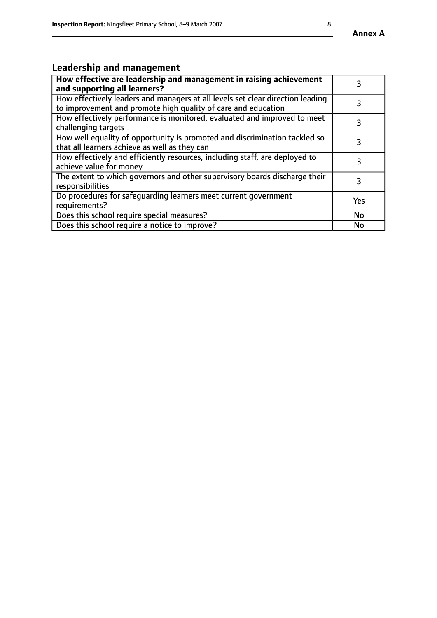# **Leadership and management**

| How effective are leadership and management in raising achievement<br>and supporting all learners?                                              |     |
|-------------------------------------------------------------------------------------------------------------------------------------------------|-----|
| How effectively leaders and managers at all levels set clear direction leading<br>to improvement and promote high quality of care and education |     |
| How effectively performance is monitored, evaluated and improved to meet<br>challenging targets                                                 |     |
| How well equality of opportunity is promoted and discrimination tackled so<br>that all learners achieve as well as they can                     |     |
| How effectively and efficiently resources, including staff, are deployed to<br>achieve value for money                                          | 3   |
| The extent to which governors and other supervisory boards discharge their<br>responsibilities                                                  |     |
| Do procedures for safequarding learners meet current government<br>requirements?                                                                | Yes |
| Does this school require special measures?                                                                                                      | No  |
| Does this school require a notice to improve?                                                                                                   | No  |